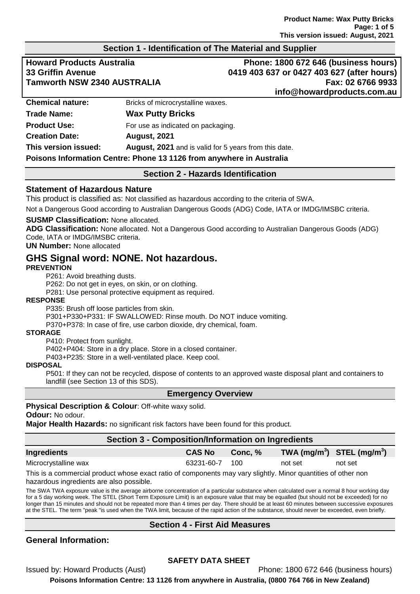#### **Section 1 - Identification of The Material and Supplier**

**Howard Products Australia Phone: 1800 672 646 (business hours) 33 Griffin Avenue 0419 403 637 or 0427 403 627 (after hours) Tamworth NSW 2340 AUSTRALIA Fax: 02 6766 9933 info@howardproducts.com.au**

| <b>Chemical nature:</b> | Bricks of microcrystalline waxes.                                    |  |
|-------------------------|----------------------------------------------------------------------|--|
| Trade Name:             | <b>Wax Putty Bricks</b>                                              |  |
| <b>Product Use:</b>     | For use as indicated on packaging.                                   |  |
| <b>Creation Date:</b>   | <b>August, 2021</b>                                                  |  |
| This version issued:    | <b>August, 2021</b> and is valid for 5 years from this date.         |  |
|                         | Poisons Information Centre: Phone 13 1126 from anywhere in Australia |  |

#### **Section 2 - Hazards Identification**

#### **Statement of Hazardous Nature**

This product is classified as: Not classified as hazardous according to the criteria of SWA.

Not a Dangerous Good according to Australian Dangerous Goods (ADG) Code, IATA or IMDG/IMSBC criteria.

#### **SUSMP Classification:** None allocated.

**ADG Classification:** None allocated. Not a Dangerous Good according to Australian Dangerous Goods (ADG) Code, IATA or IMDG/IMSBC criteria.

**UN Number:** None allocated

## **GHS Signal word: NONE. Not hazardous.**

#### **PREVENTION**

P261: Avoid breathing dusts.

P262: Do not get in eyes, on skin, or on clothing.

P281: Use personal protective equipment as required.

#### **RESPONSE**

P335: Brush off loose particles from skin.

P301+P330+P331: IF SWALLOWED: Rinse mouth. Do NOT induce vomiting.

P370+P378: In case of fire, use carbon dioxide, dry chemical, foam.

#### **STORAGE**

P410: Protect from sunlight.

P402+P404: Store in a dry place. Store in a closed container.

P403+P235: Store in a well-ventilated place. Keep cool.

#### **DISPOSAL**

P501: If they can not be recycled, dispose of contents to an approved waste disposal plant and containers to landfill (see Section 13 of this SDS).

#### **Emergency Overview**

#### **Physical Description & Colour**: Off-white waxy solid.

**Odour:** No odour.

**Major Health Hazards:** no significant risk factors have been found for this product.

#### **Section 3 - Composition/Information on Ingredients**

| Ingredients          | <b>CAS No</b> | Conc, % | TWA (mg/m <sup>3</sup> ) STEL (mg/m <sup>3</sup> ) |         |
|----------------------|---------------|---------|----------------------------------------------------|---------|
| Microcrystalline wax | 63231-60-7    | - 100   | not set                                            | not set |

This is a commercial product whose exact ratio of components may vary slightly. Minor quantities of other non hazardous ingredients are also possible.

The SWA TWA exposure value is the average airborne concentration of a particular substance when calculated over a normal 8 hour working day for a 5 day working week. The STEL (Short Term Exposure Limit) is an exposure value that may be equalled (but should not be exceeded) for no longer than 15 minutes and should not be repeated more than 4 times per day. There should be at least 60 minutes between successive exposures at the STEL. The term "peak "is used when the TWA limit, because of the rapid action of the substance, should never be exceeded, even briefly.

#### **Section 4 - First Aid Measures**

#### **General Information:**

#### **SAFETY DATA SHEET**

Issued by: Howard Products (Aust) Phone: 1800 672 646 (business hours) **Poisons Information Centre: 13 1126 from anywhere in Australia, (0800 764 766 in New Zealand)**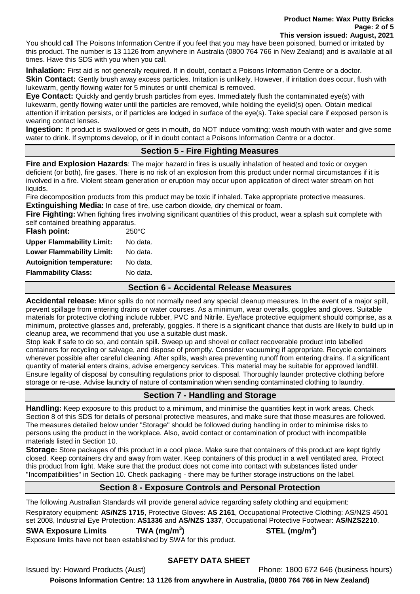**Product Name: Wax Putty Bricks Page: 2 of 5 This version issued: August, 2021**

You should call The Poisons Information Centre if you feel that you may have been poisoned, burned or irritated by this product. The number is 13 1126 from anywhere in Australia (0800 764 766 in New Zealand) and is available at all times. Have this SDS with you when you call.

**Inhalation:** First aid is not generally required. If in doubt, contact a Poisons Information Centre or a doctor. **Skin Contact:** Gently brush away excess particles. Irritation is unlikely. However, if irritation does occur, flush with lukewarm, gently flowing water for 5 minutes or until chemical is removed.

**Eye Contact:** Quickly and gently brush particles from eyes. Immediately flush the contaminated eye(s) with lukewarm, gently flowing water until the particles are removed, while holding the eyelid(s) open. Obtain medical attention if irritation persists, or if particles are lodged in surface of the eye(s). Take special care if exposed person is wearing contact lenses.

**Ingestion:** If product is swallowed or gets in mouth, do NOT induce vomiting; wash mouth with water and give some water to drink. If symptoms develop, or if in doubt contact a Poisons Information Centre or a doctor.

## **Section 5 - Fire Fighting Measures**

**Fire and Explosion Hazards**: The major hazard in fires is usually inhalation of heated and toxic or oxygen deficient (or both), fire gases. There is no risk of an explosion from this product under normal circumstances if it is involved in a fire. Violent steam generation or eruption may occur upon application of direct water stream on hot liquids.

Fire decomposition products from this product may be toxic if inhaled. Take appropriate protective measures. **Extinguishing Media:** In case of fire, use carbon dioxide, dry chemical or foam.

**Fire Fighting:** When fighting fires involving significant quantities of this product, wear a splash suit complete with self contained breathing apparatus.

**Flash point:** 250°C

**Upper Flammability Limit:** No data. **Lower Flammability Limit:** No data. **Autoignition temperature:** No data. **Flammability Class:** No data.

#### **Section 6 - Accidental Release Measures**

**Accidental release:** Minor spills do not normally need any special cleanup measures. In the event of a major spill, prevent spillage from entering drains or water courses. As a minimum, wear overalls, goggles and gloves. Suitable materials for protective clothing include rubber, PVC and Nitrile. Eye/face protective equipment should comprise, as a minimum, protective glasses and, preferably, goggles. If there is a significant chance that dusts are likely to build up in cleanup area, we recommend that you use a suitable dust mask.

Stop leak if safe to do so, and contain spill. Sweep up and shovel or collect recoverable product into labelled containers for recycling or salvage, and dispose of promptly. Consider vacuuming if appropriate. Recycle containers wherever possible after careful cleaning. After spills, wash area preventing runoff from entering drains. If a significant quantity of material enters drains, advise emergency services. This material may be suitable for approved landfill. Ensure legality of disposal by consulting regulations prior to disposal. Thoroughly launder protective clothing before storage or re-use. Advise laundry of nature of contamination when sending contaminated clothing to laundry.

## **Section 7 - Handling and Storage**

**Handling:** Keep exposure to this product to a minimum, and minimise the quantities kept in work areas. Check Section 8 of this SDS for details of personal protective measures, and make sure that those measures are followed. The measures detailed below under "Storage" should be followed during handling in order to minimise risks to persons using the product in the workplace. Also, avoid contact or contamination of product with incompatible materials listed in Section 10.

**Storage:** Store packages of this product in a cool place. Make sure that containers of this product are kept tightly closed. Keep containers dry and away from water. Keep containers of this product in a well ventilated area. Protect this product from light. Make sure that the product does not come into contact with substances listed under "Incompatibilities" in Section 10. Check packaging - there may be further storage instructions on the label.

## **Section 8 - Exposure Controls and Personal Protection**

The following Australian Standards will provide general advice regarding safety clothing and equipment:

Respiratory equipment: **AS/NZS 1715**, Protective Gloves: **AS 2161**, Occupational Protective Clothing: AS/NZS 4501 set 2008, Industrial Eye Protection: **AS1336** and **AS/NZS 1337**, Occupational Protective Footwear: **AS/NZS2210**.

**SWA Exposure Limits TWA (mg/m<sup>3</sup>**

Exposure limits have not been established by SWA for this product.

## **) STEL (mg/m<sup>3</sup> )**

**SAFETY DATA SHEET**

Issued by: Howard Products (Aust) Phone: 1800 672 646 (business hours)

**Poisons Information Centre: 13 1126 from anywhere in Australia, (0800 764 766 in New Zealand)**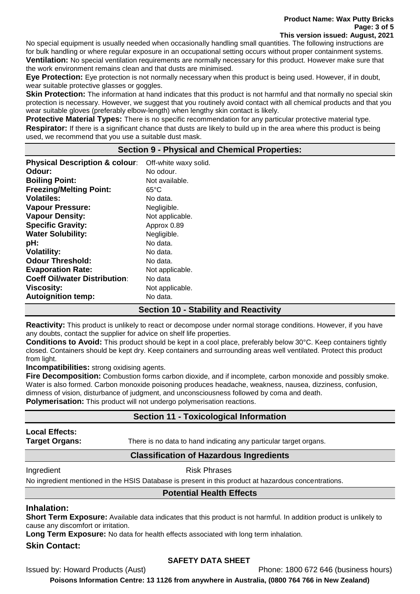No special equipment is usually needed when occasionally handling small quantities. The following instructions are for bulk handling or where regular exposure in an occupational setting occurs without proper containment systems. **Ventilation:** No special ventilation requirements are normally necessary for this product. However make sure that the work environment remains clean and that dusts are minimised.

**Eye Protection:** Eye protection is not normally necessary when this product is being used. However, if in doubt, wear suitable protective glasses or goggles.

**Skin Protection:** The information at hand indicates that this product is not harmful and that normally no special skin protection is necessary. However, we suggest that you routinely avoid contact with all chemical products and that you wear suitable gloves (preferably elbow-length) when lengthy skin contact is likely.

**Protective Material Types:** There is no specific recommendation for any particular protective material type. **Respirator:** If there is a significant chance that dusts are likely to build up in the area where this product is being used, we recommend that you use a suitable dust mask.

## **Section 9 - Physical and Chemical Properties:**

| <b>Physical Description &amp; colour:</b> | Off-white waxy solid. |
|-------------------------------------------|-----------------------|
| Odour:                                    | No odour.             |
| <b>Boiling Point:</b>                     | Not available.        |
| <b>Freezing/Melting Point:</b>            | $65^{\circ}$ C        |
| <b>Volatiles:</b>                         | No data.              |
| <b>Vapour Pressure:</b>                   | Negligible.           |
| <b>Vapour Density:</b>                    | Not applicable.       |
| <b>Specific Gravity:</b>                  | Approx 0.89           |
| <b>Water Solubility:</b>                  | Negligible.           |
| pH:                                       | No data.              |
| <b>Volatility:</b>                        | No data.              |
| <b>Odour Threshold:</b>                   | No data.              |
| <b>Evaporation Rate:</b>                  | Not applicable.       |
| <b>Coeff Oil/water Distribution:</b>      | No data               |
| <b>Viscosity:</b>                         | Not applicable.       |
| <b>Autoignition temp:</b>                 | No data.              |

## **Section 10 - Stability and Reactivity**

**Reactivity:** This product is unlikely to react or decompose under normal storage conditions. However, if you have any doubts, contact the supplier for advice on shelf life properties.

**Conditions to Avoid:** This product should be kept in a cool place, preferably below 30°C. Keep containers tightly closed. Containers should be kept dry. Keep containers and surrounding areas well ventilated. Protect this product from light.

**Incompatibilities:** strong oxidising agents.

**Fire Decomposition:** Combustion forms carbon dioxide, and if incomplete, carbon monoxide and possibly smoke. Water is also formed. Carbon monoxide poisoning produces headache, weakness, nausea, dizziness, confusion, dimness of vision, disturbance of judgment, and unconsciousness followed by coma and death.

**Polymerisation:** This product will not undergo polymerisation reactions.

## **Section 11 - Toxicological Information**

# **Local Effects:**

**Target Organs:** There is no data to hand indicating any particular target organs.

## **Classification of Hazardous Ingredients**

## Ingredient **Risk Phrases**

No ingredient mentioned in the HSIS Database is present in this product at hazardous concentrations.

#### **Potential Health Effects**

## **Inhalation:**

**Short Term Exposure:** Available data indicates that this product is not harmful. In addition product is unlikely to cause any discomfort or irritation.

**Long Term Exposure:** No data for health effects associated with long term inhalation.

## **Skin Contact:**

## **SAFETY DATA SHEET**

Issued by: Howard Products (Aust) Phone: 1800 672 646 (business hours)

**Poisons Information Centre: 13 1126 from anywhere in Australia, (0800 764 766 in New Zealand)**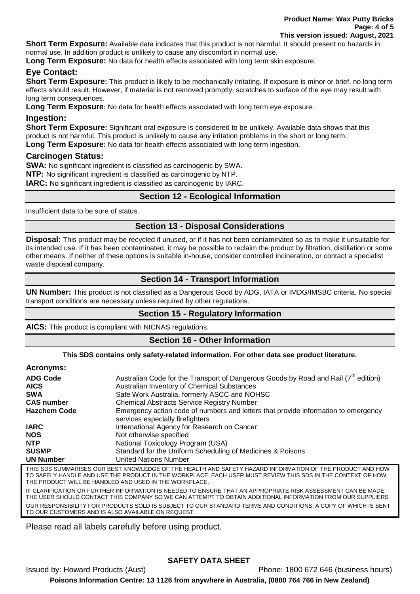**Short Term Exposure:** Available data indicates that this product is not harmful. It should present no hazards in normal use. In addition product is unlikely to cause any discomfort in normal use.

**Long Term Exposure:** No data for health effects associated with long term skin exposure.

## **Eye Contact:**

**Short Term Exposure:** This product is likely to be mechanically irritating. If exposure is minor or brief, no long term effects should result. However, if material is not removed promptly, scratches to surface of the eye may result with long term consequences.

**Long Term Exposure:** No data for health effects associated with long term eye exposure.

## **Ingestion:**

**Short Term Exposure:** Significant oral exposure is considered to be unlikely. Available data shows that this product is not harmful. This product is unlikely to cause any irritation problems in the short or long term. **Long Term Exposure:** No data for health effects associated with long term ingestion.

## **Carcinogen Status:**

**SWA:** No significant ingredient is classified as carcinogenic by SWA. **NTP:** No significant ingredient is classified as carcinogenic by NTP. **IARC:** No significant ingredient is classified as carcinogenic by IARC.

## **Section 12 - Ecological Information**

Insufficient data to be sure of status.

## **Section 13 - Disposal Considerations**

**Disposal:** This product may be recycled if unused, or if it has not been contaminated so as to make it unsuitable for its intended use. If it has been contaminated, it may be possible to reclaim the product by filtration, distillation or some other means. If neither of these options is suitable in-house, consider controlled incineration, or contact a specialist waste disposal company.

## **Section 14 - Transport Information**

**UN Number:** This product is not classified as a Dangerous Good by ADG, IATA or IMDG/IMSBC criteria. No special transport conditions are necessary unless required by other regulations.

## **Section 15 - Regulatory Information**

**AICS:** This product is compliant with NICNAS regulations.

#### **Section 16 - Other Information**

#### **This SDS contains only safety-related information. For other data see product literature.**

#### **Acronyms:**

| <b>ADG Code</b>     | Australian Code for the Transport of Dangerous Goods by Road and Rail $(7^{th}$ edition)                               |
|---------------------|------------------------------------------------------------------------------------------------------------------------|
| <b>AICS</b>         | Australian Inventory of Chemical Substances                                                                            |
| <b>SWA</b>          | Safe Work Australia, formerly ASCC and NOHSC                                                                           |
| <b>CAS number</b>   | <b>Chemical Abstracts Service Registry Number</b>                                                                      |
| <b>Hazchem Code</b> | Emergency action code of numbers and letters that provide information to emergency<br>services especially firefighters |
| <b>IARC</b>         | International Agency for Research on Cancer                                                                            |
| <b>NOS</b>          | Not otherwise specified                                                                                                |
| <b>NTP</b>          | National Toxicology Program (USA)                                                                                      |
| <b>SUSMP</b>        | Standard for the Uniform Scheduling of Medicines & Poisons                                                             |
| <b>UN Number</b>    | <b>United Nations Number</b>                                                                                           |
| THE CBC CHAMA DICEC | <u>DECT KNOWLEDCE OF THE HEALTH AND CAFETY HAZADD INFODIAATION OF THE DDODHCT AND HOL</u>                              |

OUR BEST KNOWLEDGE OF THE HEALTH AND SAFETY HAZARD INFORMATIO TO SAFELY HANDLE AND USE THE PRODUCT IN THE WORKPLACE. EACH USER MUST REVIEW THIS SDS IN THE CONTEXT OF HOW THE PRODUCT WILL BE HANDLED AND USED IN THE WORKPLACE. IF CLARIFICATION OR FURTHER INFORMATION IS NEEDED TO ENSURE THAT AN APPROPRIATE RISK ASSESSMENT CAN BE MADE, THE USER SHOULD CONTACT THIS COMPANY SO WE CAN ATTEMPT TO OBTAIN ADDITIONAL INFORMATION FROM OUR SUPPLIERS OUR RESPONSIBILITY FOR PRODUCTS SOLD IS SUBJECT TO OUR STANDARD TERMS AND CONDITIONS, A COPY OF WHICH IS SENT TO OUR CUSTOMERS AND IS ALSO AVAILABLE ON REQUEST.

Please read all labels carefully before using product.